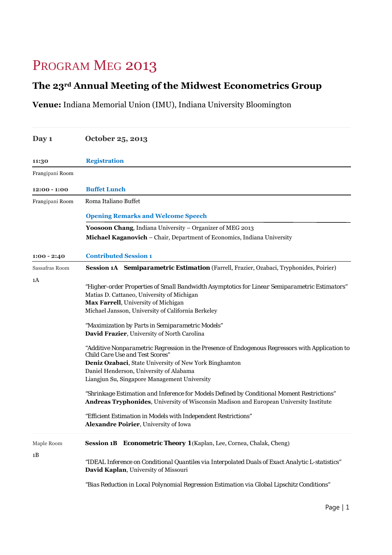## PROGRAM MEG 2013

## **The 23rd Annual Meeting of the Midwest Econometrics Group**

**Venue:** Indiana Memorial Union (IMU), Indiana University Bloomington

| Day 1            | October 25, 2013                                                                                                                          |  |  |
|------------------|-------------------------------------------------------------------------------------------------------------------------------------------|--|--|
| 11:30            | <b>Registration</b>                                                                                                                       |  |  |
| Frangipani Room  |                                                                                                                                           |  |  |
| $12:00 - 1:00$   | <b>Buffet Lunch</b>                                                                                                                       |  |  |
| Frangipani Room  | Roma Italiano Buffet                                                                                                                      |  |  |
|                  | <b>Opening Remarks and Welcome Speech</b>                                                                                                 |  |  |
|                  | Yoosoon Chang, Indiana University - Organizer of MEG 2013                                                                                 |  |  |
|                  | Michael Kaganovich - Chair, Department of Economics, Indiana University                                                                   |  |  |
| $1:00 - 2:40$    | <b>Contributed Session 1</b>                                                                                                              |  |  |
| Sassafras Room   | Session 1A Semiparametric Estimation (Farrell, Frazier, Ozabaci, Tryphonides, Poirier)                                                    |  |  |
| 1A               |                                                                                                                                           |  |  |
|                  | "Higher-order Properties of Small Bandwidth Asymptotics for Linear Semiparametric Estimators"                                             |  |  |
|                  | Matias D. Cattaneo, University of Michigan                                                                                                |  |  |
|                  | Max Farrell, University of Michigan                                                                                                       |  |  |
|                  | Michael Jansson, University of California Berkeley                                                                                        |  |  |
|                  | "Maximization by Parts in Semiparametric Models"                                                                                          |  |  |
|                  | David Frazier, University of North Carolina                                                                                               |  |  |
|                  | "Additive Nonparametric Regression in the Presence of Endogenous Regressors with Application to<br><b>Child Care Use and Test Scores"</b> |  |  |
|                  | Deniz Ozabaci, State University of New York Binghamton                                                                                    |  |  |
|                  | Daniel Henderson, University of Alabama                                                                                                   |  |  |
|                  | Liangjun Su, Singapore Management University                                                                                              |  |  |
|                  | "Shrinkage Estimation and Inference for Models Defined by Conditional Moment Restrictions"                                                |  |  |
|                  | Andreas Tryphonides, University of Wisconsin Madison and European University Institute                                                    |  |  |
|                  | "Efficient Estimation in Models with Independent Restrictions"                                                                            |  |  |
|                  | Alexandre Poirier, University of Iowa                                                                                                     |  |  |
| Maple Room<br>1B | Session 1B Econometric Theory 1 (Kaplan, Lee, Cornea, Chalak, Cheng)                                                                      |  |  |
|                  | "IDEAL Inference on Conditional Quantiles via Interpolated Duals of Exact Analytic L-statistics"<br>David Kaplan, University of Missouri  |  |  |
|                  | "Bias Reduction in Local Polynomial Regression Estimation via Global Lipschitz Conditions"                                                |  |  |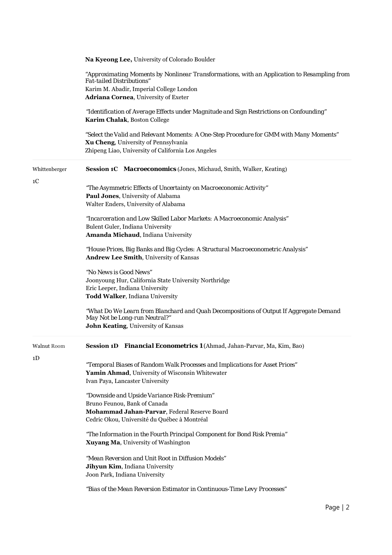|               | Na Kyeong Lee, University of Colorado Boulder                                                                                                                                         |
|---------------|---------------------------------------------------------------------------------------------------------------------------------------------------------------------------------------|
|               | "Approximating Moments by Nonlinear Transformations, with an Application to Resampling from<br><b>Fat-tailed Distributions"</b>                                                       |
|               | Karim M. Abadir, Imperial College London                                                                                                                                              |
|               | Adriana Cornea, University of Exeter                                                                                                                                                  |
|               | "Identification of Average Effects under Magnitude and Sign Restrictions on Confounding"<br>Karim Chalak, Boston College                                                              |
|               | "Select the Valid and Relevant Moments: A One-Step Procedure for GMM with Many Moments"<br>Xu Cheng, University of Pennsylvania<br>Zhipeng Liao, University of California Los Angeles |
| Whittenberger | Session 1C Macroeconomics (Jones, Michaud, Smith, Walker, Keating)                                                                                                                    |
| 1C            | "The Asymmetric Effects of Uncertainty on Macroeconomic Activity"<br>Paul Jones, University of Alabama<br>Walter Enders, University of Alabama                                        |
|               | "Incarceration and Low Skilled Labor Markets: A Macroeconomic Analysis"<br>Bulent Guler, Indiana University<br>Amanda Michaud, Indiana University                                     |
|               | "House Prices, Big Banks and Big Cycles: A Structural Macroeconometric Analysis"<br>Andrew Lee Smith, University of Kansas                                                            |
|               | "No News is Good News"                                                                                                                                                                |
|               | Joonyoung Hur, California State University Northridge<br>Eric Leeper, Indiana University<br>Todd Walker, Indiana University                                                           |
|               | "What Do We Learn from Blanchard and Quah Decompositions of Output If Aggregate Demand<br>May Not be Long-run Neutral?"                                                               |
|               | John Keating, University of Kansas                                                                                                                                                    |
| Walnut Room   | Session 1D Financial Econometrics 1 (Ahmad, Jahan-Parvar, Ma, Kim, Bao)                                                                                                               |
| 1D            |                                                                                                                                                                                       |
|               | "Temporal Biases of Random Walk Processes and Implications for Asset Prices"                                                                                                          |
|               | Yamin Ahmad, University of Wisconsin Whitewater<br>Ivan Paya, Lancaster University                                                                                                    |
|               |                                                                                                                                                                                       |
|               | "Downside and Upside Variance Risk-Premium"<br>Bruno Feunou, Bank of Canada                                                                                                           |
|               | Mohammad Jahan-Parvar, Federal Reserve Board                                                                                                                                          |
|               | Cedric Okou, Université du Québec à Montréal                                                                                                                                          |
|               | "The Information in the Fourth Principal Component for Bond Risk Premia"<br>Xuyang Ma, University of Washington                                                                       |
|               | "Mean Reversion and Unit Root in Diffusion Models"                                                                                                                                    |
|               | Jihyun Kim, Indiana University                                                                                                                                                        |
|               | Joon Park, Indiana University                                                                                                                                                         |
|               | "Bias of the Mean Reversion Estimator in Continuous-Time Levy Processes"                                                                                                              |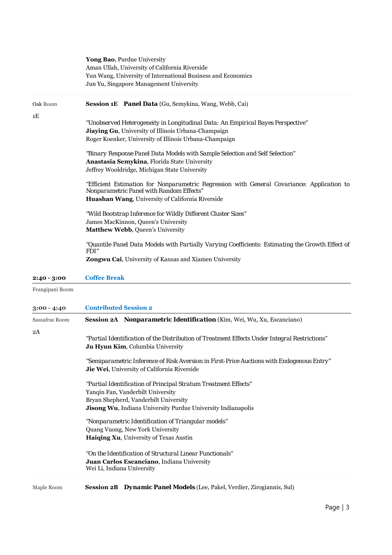|               | Yong Bao, Purdue University<br>Aman Ullah, University of California Riverside<br>Yun Wang, University of International Business and Economics<br>Jun Yu, Singapore Management University |
|---------------|------------------------------------------------------------------------------------------------------------------------------------------------------------------------------------------|
| Oak Room      | <b>Session 1E</b> Panel Data (Gu, Semykina, Wang, Webb, Cai)                                                                                                                             |
| 1E            |                                                                                                                                                                                          |
|               | "Unobserved Heterogeneity in Longitudinal Data: An Empirical Bayes Perspective"                                                                                                          |
|               | Jiaying Gu, University of Illinois Urbana-Champaign                                                                                                                                      |
|               | Roger Koenker, University of Illinois Urbana-Champaign                                                                                                                                   |
|               | "Binary Response Panel Data Models with Sample Selection and Self Selection"                                                                                                             |
|               | Anastasia Semykina, Florida State University                                                                                                                                             |
|               | Jeffrey Wooldridge, Michigan State University                                                                                                                                            |
|               | "Efficient Estimation for Nonparametric Regression with General Covariance: Application to                                                                                               |
|               | Nonparametric Panel with Random Effects"                                                                                                                                                 |
|               | Huashan Wang, University of California Riverside                                                                                                                                         |
|               | "Wild Bootstrap Inference for Wildly Different Cluster Sizes"                                                                                                                            |
|               | James MacKinnon, Queen's University                                                                                                                                                      |
|               | Matthew Webb, Queen's University                                                                                                                                                         |
|               | "Quantile Panel Data Models with Partially Varying Coefficients: Estimating the Growth Effect of<br><i>FDI"</i>                                                                          |
|               | Zongwu Cai, University of Kansas and Xiamen University                                                                                                                                   |
| $2:40 - 3:00$ | <b>Coffee Break</b>                                                                                                                                                                      |
|               |                                                                                                                                                                                          |

Frangipani Room

| $3:00 - 4:40$  | <b>Contributed Session 2</b>                                                                                                                                                                                  |  |  |
|----------------|---------------------------------------------------------------------------------------------------------------------------------------------------------------------------------------------------------------|--|--|
| Sassafras Room | <b>Session 2A <i>Nonparametric Identification</i></b> (Kim, Wei, Wu, Xu, Escanciano)                                                                                                                          |  |  |
| 2A             | "Partial Identification of the Distribution of Treatment Effects Under Integral Restrictions"<br><b>Ju Hyun Kim, Columbia University</b>                                                                      |  |  |
|                | "Semiparametric Inference of Risk Aversion in First-Price Auctions with Endogenous Entry"<br><b>Jie Wei</b> , University of California Riverside                                                              |  |  |
|                | "Partial Identification of Principal Stratum Treatment Effects"<br>Yanqin Fan, Vanderbilt University<br>Bryan Shepherd, Vanderbilt University<br>Jisong Wu, Indiana University Purdue University Indianapolis |  |  |
|                | "Nonparametric Identification of Triangular models"<br>Quang Vuong, New York University<br>Haiqing Xu, University of Texas Austin                                                                             |  |  |
|                | "On the Identification of Structural Linear Functionals"<br>Juan Carlos Escanciano, Indiana University<br>Wei Li, Indiana University                                                                          |  |  |
| Maple Room     | <b>Session 2B</b> Dynamic Panel Models (Lee, Pakel, Verdier, Zirogiannis, Sul)                                                                                                                                |  |  |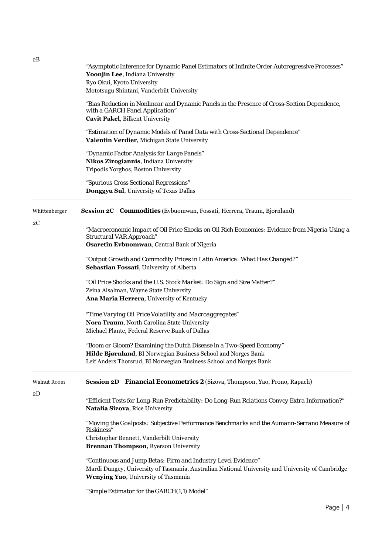| 2В                  | "Asymptotic Inference for Dynamic Panel Estimators of Infinite Order Autoregressive Processes"<br>Yoonjin Lee, Indiana University<br>Ryo Okui, Kyoto University                                            |
|---------------------|------------------------------------------------------------------------------------------------------------------------------------------------------------------------------------------------------------|
|                     | Mototsugu Shintani, Vanderbilt University                                                                                                                                                                  |
|                     | "Bias Reduction in Nonlinear and Dynamic Panels in the Presence of Cross-Section Dependence,<br>with a GARCH Panel Application"<br>Cavit Pakel, Bilkent University                                         |
|                     | "Estimation of Dynamic Models of Panel Data with Cross-Sectional Dependence"<br>Valentin Verdier, Michigan State University                                                                                |
|                     | "Dynamic Factor Analysis for Large Panels"<br>Nikos Zirogiannis, Indiana University<br>Tripodis Yorghos, Boston University                                                                                 |
|                     | "Spurious Cross Sectional Regressions"<br>Donggyu Sul, University of Texas Dallas                                                                                                                          |
| Whittenberger<br>2C | Session 2C Commodities (Evbuomwan, Fossati, Herrera, Traum, Bjørnland)                                                                                                                                     |
|                     | "Macroeconomic Impact of Oil Price Shocks on Oil Rich Economies: Evidence from Nigeria Using a<br>Structural VAR Approach"                                                                                 |
|                     | Osaretin Evbuomwan, Central Bank of Nigeria                                                                                                                                                                |
|                     | "Output Growth and Commodity Prices in Latin America: What Has Changed?"<br>Sebastian Fossati, University of Alberta                                                                                       |
|                     | "Oil Price Shocks and the U.S. Stock Market: Do Sign and Size Matter?"<br>Zeina Alsalman, Wayne State University<br>Ana Maria Herrera, University of Kentucky                                              |
|                     | "Time Varying Oil Price Volatility and Macroaggregates"<br>Nora Traum, North Carolina State University<br>Michael Plante, Federal Reserve Bank of Dallas                                                   |
|                     | "Boom or Gloom? Examining the Dutch Disease in a Two-Speed Economy"<br>Hilde Bjørnland, BI Norwegian Business School and Norges Bank<br>Leif Anders Thorsrud, BI Norwegian Business School and Norges Bank |
| Walnut Room         | Session 2D Financial Econometrics 2 (Sizova, Thompson, Yao, Prono, Rapach)                                                                                                                                 |
| 2D                  | "Efficient Tests for Long-Run Predictability: Do Long-Run Relations Convey Extra Information?"<br>Natalia Sizova, Rice University                                                                          |
|                     | "Moving the Goalposts: Subjective Performance Benchmarks and the Aumann-Serrano Measure of<br><i>Riskiness"</i>                                                                                            |
|                     | Christopher Bennett, Vanderbilt University<br>Brennan Thompson, Ryerson University                                                                                                                         |
|                     | "Continuous and Jump Betas: Firm and Industry Level Evidence"<br>Mardi Dungey, University of Tasmania, Australian National University and University of Cambridge<br>Wenying Yao, University of Tasmania   |
|                     | "Simple Estimator for the GARCH(1,1) Model"                                                                                                                                                                |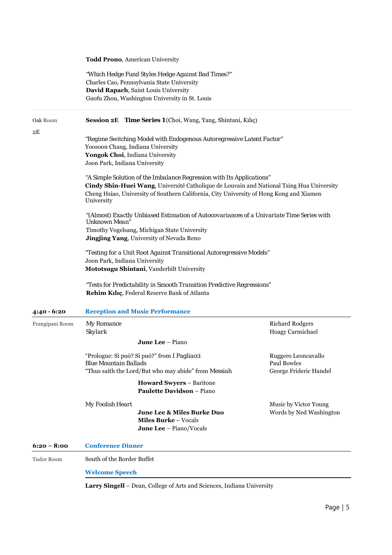|                 | <b>Todd Prono, American University</b>                               |                                                                                                                                          |                         |  |
|-----------------|----------------------------------------------------------------------|------------------------------------------------------------------------------------------------------------------------------------------|-------------------------|--|
|                 |                                                                      | "Which Hedge Fund Styles Hedge Against Bad Times?"<br>Charles Cao, Pennsylvania State University<br>David Rapach, Saint Louis University |                         |  |
|                 |                                                                      | Guofu Zhou, Washington University in St. Louis                                                                                           |                         |  |
| Oak Room        |                                                                      | Session 2E Time Series 1 (Choi, Wang, Yang, Shintani, Kılıç)                                                                             |                         |  |
| 2Ε              |                                                                      | "Regime Switching Model with Endogenous Autoregressive Latent Factor"                                                                    |                         |  |
|                 | Yoosoon Chang, Indiana University                                    |                                                                                                                                          |                         |  |
|                 | Yongok Choi, Indiana University                                      |                                                                                                                                          |                         |  |
|                 | Joon Park, Indiana University                                        |                                                                                                                                          |                         |  |
|                 |                                                                      | "A Simple Solution of the Imbalance Regression with Its Applications"                                                                    |                         |  |
|                 |                                                                      | Cindy Shin-Huei Wang, Université Catholique de Louvain and National Tsing Hua University                                                 |                         |  |
|                 | University                                                           | Cheng Hsiao, University of Southern California, City University of Hong Kong and Xiamen                                                  |                         |  |
|                 | Unknown Mean"                                                        | "(Almost) Exactly Unbiased Estimation of Autocovariances of a Univariate Time Series with                                                |                         |  |
|                 |                                                                      | Timothy Vogelsang, Michigan State University                                                                                             |                         |  |
|                 |                                                                      | <b>Jingjing Yang</b> , University of Nevada Reno                                                                                         |                         |  |
|                 | "Testing for a Unit Root Against Transitional Autoregressive Models" |                                                                                                                                          |                         |  |
|                 | Joon Park, Indiana University                                        |                                                                                                                                          |                         |  |
|                 |                                                                      | Mototsugu Shintani, Vanderbilt University                                                                                                |                         |  |
|                 |                                                                      | "Tests for Predictability in Smooth Transition Predictive Regressions"                                                                   |                         |  |
|                 |                                                                      | Rehim Kılıç, Federal Reserve Bank of Atlanta                                                                                             |                         |  |
| 4:40 - 6:20     |                                                                      | <b>Reception and Music Performance</b>                                                                                                   |                         |  |
| Frangipani Room | My Romance                                                           |                                                                                                                                          | <b>Richard Rodgers</b>  |  |
|                 | Skylark                                                              |                                                                                                                                          | Hoagy Carmichael        |  |
|                 |                                                                      | <b>June Lee</b> – Piano                                                                                                                  |                         |  |
|                 |                                                                      | "Prologue: Si può? Si può?" from I Pagliacci                                                                                             | Ruggero Leoncavallo     |  |
|                 | <b>Blue Mountain Ballads</b>                                         |                                                                                                                                          | Paul Bowles             |  |
|                 |                                                                      | "Thus saith the Lord/But who may abide" from Messiah                                                                                     | George Frideric Handel  |  |
|                 |                                                                      | <b>Howard Swyers - Baritone</b><br><b>Paulette Davidson - Piano</b>                                                                      |                         |  |
|                 | My Foolish Heart                                                     |                                                                                                                                          | Music by Victor Young   |  |
|                 |                                                                      | June Lee & Miles Burke Duo                                                                                                               | Words by Ned Washington |  |
|                 |                                                                      | <b>Miles Burke - Vocals</b><br>June Lee - Piano/Vocals                                                                                   |                         |  |
|                 |                                                                      |                                                                                                                                          |                         |  |
| $6:20 - 8:00$   | <b>Conference Dinner</b>                                             |                                                                                                                                          |                         |  |
| Tudor Room      | South of the Border Buffet                                           |                                                                                                                                          |                         |  |
|                 | <b>Welcome Speech</b>                                                |                                                                                                                                          |                         |  |
|                 | all Dean Collage of Antagnal Coinness, Indiana Univ                  |                                                                                                                                          |                         |  |

**Larry Singell** – Dean, College of Arts and Sciences, Indiana University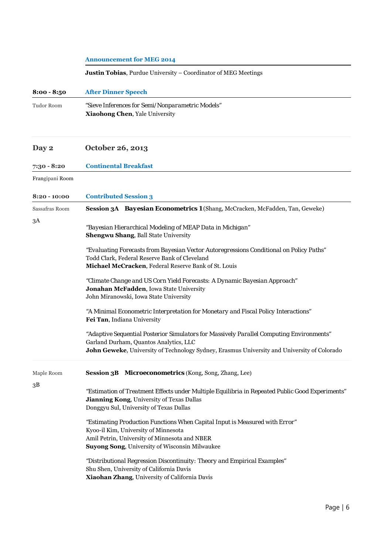|                 | <b>Announcement for MEG 2014</b>                                                                                                                                                                                                  |  |  |
|-----------------|-----------------------------------------------------------------------------------------------------------------------------------------------------------------------------------------------------------------------------------|--|--|
|                 | <b>Justin Tobias</b> , Purdue University - Coordinator of MEG Meetings                                                                                                                                                            |  |  |
| $8:00 - 8:50$   | <b>After Dinner Speech</b>                                                                                                                                                                                                        |  |  |
| Tudor Room      | "Sieve Inferences for Semi/Nonparametric Models"<br>Xiaohong Chen, Yale University                                                                                                                                                |  |  |
| Day 2           | October 26, 2013                                                                                                                                                                                                                  |  |  |
| 7:30 - 8:20     | <b>Continental Breakfast</b>                                                                                                                                                                                                      |  |  |
| Frangipani Room |                                                                                                                                                                                                                                   |  |  |
| $8:20 - 10:00$  | <b>Contributed Session 3</b>                                                                                                                                                                                                      |  |  |
| Sassafras Room  | Session 3A Bayesian Econometrics 1 (Shang, McCracken, McFadden, Tan, Geweke)                                                                                                                                                      |  |  |
| 3A              | "Bayesian Hierarchical Modeling of MEAP Data in Michigan"<br><b>Shengwu Shang, Ball State University</b>                                                                                                                          |  |  |
|                 | "Evaluating Forecasts from Bayesian Vector Autoregressions Conditional on Policy Paths"<br>Todd Clark, Federal Reserve Bank of Cleveland<br>Michael McCracken, Federal Reserve Bank of St. Louis                                  |  |  |
|                 | "Climate Change and US Corn Yield Forecasts: A Dynamic Bayesian Approach"<br>Jonahan McFadden, Iowa State University<br>John Miranowski, Iowa State University                                                                    |  |  |
|                 | "A Minimal Econometric Interpretation for Monetary and Fiscal Policy Interactions"<br>Fei Tan, Indiana University                                                                                                                 |  |  |
|                 | "Adaptive Sequential Posterior Simulators for Massively Parallel Computing Environments"<br>Garland Durham, Quantos Analytics, LLC<br>John Geweke, University of Technology Sydney, Erasmus University and University of Colorado |  |  |
| Maple Room      | Session 3B Microeconometrics (Kong, Song, Zhang, Lee)                                                                                                                                                                             |  |  |
| 3B              | "Estimation of Treatment Effects under Multiple Equilibria in Repeated Public Good Experiments"<br><b>Jianning Kong, University of Texas Dallas</b><br>Donggyu Sul, University of Texas Dallas                                    |  |  |
|                 | "Estimating Production Functions When Capital Input is Measured with Error"<br>Kyoo-il Kim, University of Minnesota<br>Amil Petrin, University of Minnesota and NBER<br>Suyong Song, University of Wisconsin Milwaukee            |  |  |
|                 | "Distributional Regression Discontinuity: Theory and Empirical Examples"<br>Shu Shen, University of California Davis<br>Xiaohan Zhang, University of California Davis                                                             |  |  |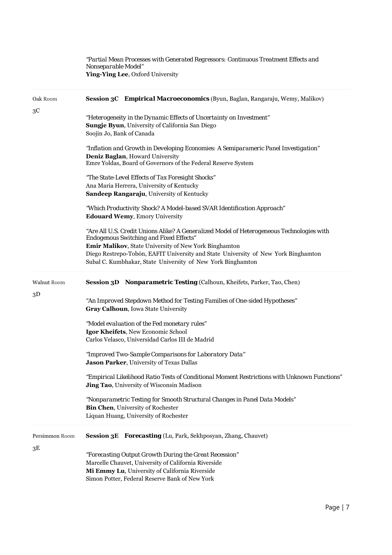*"Partial Mean Processes with Generated Regressors: Continuous Treatment Effects and Nonseparable Model"* **Ying-Ying Lee**, Oxford University

| Oak Room       |                           | Session 3C Empirical Macroeconomics (Byun, Baglan, Rangaraju, Wemy, Malikov)                                                                                                                                       |
|----------------|---------------------------|--------------------------------------------------------------------------------------------------------------------------------------------------------------------------------------------------------------------|
| зC             | Soojin Jo, Bank of Canada | "Heterogeneity in the Dynamic Effects of Uncertainty on Investment"<br>Sungje Byun, University of California San Diego                                                                                             |
|                |                           | "Inflation and Growth in Developing Economies: A Semiparameric Panel Investigation"<br>Deniz Baglan, Howard University<br>Emre Yoldas, Board of Governors of the Federal Reserve System                            |
|                |                           | "The State-Level Effects of Tax Foresight Shocks"<br>Ana Maria Herrera, University of Kentucky<br>Sandeep Rangaraju, University of Kentucky                                                                        |
|                |                           | "Which Productivity Shock? A Model-based SVAR Identification Approach"<br><b>Edouard Wemy</b> , Emory University                                                                                                   |
|                |                           | "Are All U.S. Credit Unions Alike? A Generalized Model of Heterogeneous Technologies with<br><b>Endogenous Switching and Fixed Effects"</b><br>Emir Malikov, State University of New York Binghamton               |
|                |                           | Diego Restrepo-Tobón, EAFIT University and State University of New York Binghamton<br>Subal C. Kumbhakar, State University of New York Binghamton                                                                  |
| Walnut Room    |                           | Session 3D Nonparametric Testing (Calhoun, Kheifets, Parker, Tao, Chen)                                                                                                                                            |
| $3\mathrm{D}$  |                           | "An Improved Stepdown Method for Testing Families of One-sided Hypotheses"<br>Gray Calhoun, Iowa State University                                                                                                  |
|                |                           | "Model evaluation of the Fed monetary rules"<br>Igor Kheifets, New Economic School<br>Carlos Velasco, Universidad Carlos III de Madrid                                                                             |
|                |                           | "Improved Two-Sample Comparisons for Laboratory Data"<br>Jason Parker, University of Texas Dallas                                                                                                                  |
|                |                           | "Empirical Likelihood Ratio Tests of Conditional Moment Restrictions with Unknown Functions"<br><b>Jing Tao</b> , University of Wisconsin Madison                                                                  |
|                |                           | "Nonparametric Testing for Smooth Structural Changes in Panel Data Models"<br><b>Bin Chen</b> , University of Rochester<br>Liquan Huang, University of Rochester                                                   |
| Persimmon Room |                           | Session 3E Forecasting (Lu, Park, Sekhposyan, Zhang, Chauvet)                                                                                                                                                      |
| 3Ε             |                           | "Forecasting Output Growth During the Great Recession"<br>Marcelle Chauvet, University of California Riverside<br>Mi Emmy Lu, University of California Riverside<br>Simon Potter, Federal Reserve Bank of New York |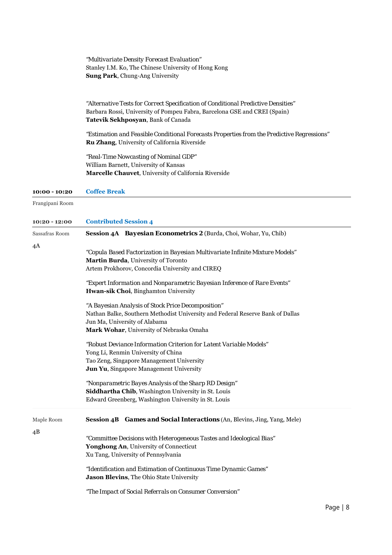|                 | "Multivariate Density Forecast Evaluation"<br>Stanley I.M. Ko, The Chinese University of Hong Kong<br>Sung Park, Chung-Ang University                                                                                                                                                                                                                                                                                                                                                        |
|-----------------|----------------------------------------------------------------------------------------------------------------------------------------------------------------------------------------------------------------------------------------------------------------------------------------------------------------------------------------------------------------------------------------------------------------------------------------------------------------------------------------------|
|                 | "Alternative Tests for Correct Specification of Conditional Predictive Densities"<br>Barbara Rossi, University of Pompeu Fabra, Barcelona GSE and CREI (Spain)<br>Tatevik Sekhposyan, Bank of Canada<br>"Estimation and Feasible Conditional Forecasts Properties from the Predictive Regressions"<br>Ru Zhang, University of California Riverside<br>"Real-Time Nowcasting of Nominal GDP"<br>William Barnett, University of Kansas<br>Marcelle Chauvet, University of California Riverside |
| $10:00 - 10:20$ | <b>Coffee Break</b>                                                                                                                                                                                                                                                                                                                                                                                                                                                                          |
| Frangipani Room |                                                                                                                                                                                                                                                                                                                                                                                                                                                                                              |
| $10:20 - 12:00$ | <b>Contributed Session 4</b>                                                                                                                                                                                                                                                                                                                                                                                                                                                                 |
| Sassafras Room  | Session 4A Bayesian Econometrics 2 (Burda, Choi, Wohar, Yu, Chib)                                                                                                                                                                                                                                                                                                                                                                                                                            |
| 4A              | "Copula Based Factorization in Bayesian Multivariate Infinite Mixture Models"<br>Martin Burda, University of Toronto<br>Artem Prokhorov, Concordia University and CIREQ<br>"Expert Information and Nonparametric Bayesian Inference of Rare Events"                                                                                                                                                                                                                                          |
|                 | Hwan-sik Choi, Binghamton University<br>"A Bayesian Analysis of Stock Price Decomposition"<br>Nathan Balke, Southern Methodist University and Federal Reserve Bank of Dallas<br>Jun Ma, University of Alabama<br>Mark Wohar, University of Nebraska Omaha                                                                                                                                                                                                                                    |
|                 | "Robust Deviance Information Criterion for Latent Variable Models"<br>Yong Li, Renmin University of China<br>Tao Zeng, Singapore Management University<br>Jun Yu, Singapore Management University<br>"Nonparametric Bayes Analysis of the Sharp RD Design"                                                                                                                                                                                                                                   |
|                 | Siddhartha Chib, Washington University in St. Louis<br>Edward Greenberg, Washington University in St. Louis                                                                                                                                                                                                                                                                                                                                                                                  |
| Maple Room      | Session 4B Games and Social Interactions (An, Blevins, Jing, Yang, Mele)                                                                                                                                                                                                                                                                                                                                                                                                                     |
| 4B              | "Committee Decisions with Heterogeneous Tastes and Ideological Bias"<br>Yonghong An, University of Connecticut<br>Xu Tang, University of Pennsylvania                                                                                                                                                                                                                                                                                                                                        |
|                 | "Identification and Estimation of Continuous Time Dynamic Games"<br>Jason Blevins, The Ohio State University                                                                                                                                                                                                                                                                                                                                                                                 |
|                 | "The Impact of Social Referrals on Consumer Conversion"                                                                                                                                                                                                                                                                                                                                                                                                                                      |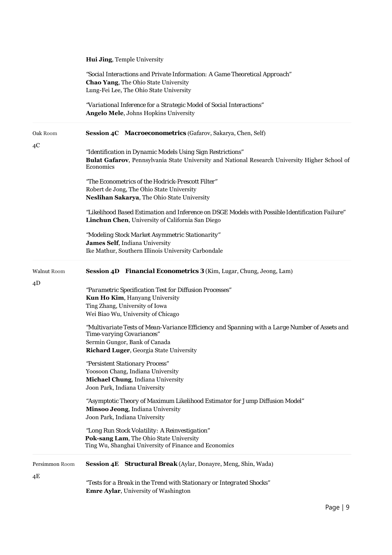|                | <b>Hui Jing, Temple University</b>                                                                                                                                                                      |
|----------------|---------------------------------------------------------------------------------------------------------------------------------------------------------------------------------------------------------|
|                | "Social Interactions and Private Information: A Game Theoretical Approach"<br><b>Chao Yang, The Ohio State University</b><br>Lung-Fei Lee, The Ohio State University                                    |
|                | "Variational Inference for a Strategic Model of Social Interactions"<br><b>Angelo Mele, Johns Hopkins University</b>                                                                                    |
| Oak Room<br>4C | Session 4C Macroeconometrics (Gafarov, Sakarya, Chen, Self)                                                                                                                                             |
|                | "Identification in Dynamic Models Using Sign Restrictions"<br>Bulat Gafarov, Pennsylvania State University and National Research University Higher School of<br>Economics                               |
|                | "The Econometrics of the Hodrick-Prescott Filter"<br>Robert de Jong, The Ohio State University<br>Neslihan Sakarya, The Ohio State University                                                           |
|                | "Likelihood Based Estimation and Inference on DSGE Models with Possible Identification Failure"<br>Linchun Chen, University of California San Diego                                                     |
|                | "Modeling Stock Market Asymmetric Stationarity"<br>James Self, Indiana University<br>Ike Mathur, Southern Illinois University Carbondale                                                                |
| Walnut Room    | Session 4D Financial Econometrics 3 (Kim, Lugar, Chung, Jeong, Lam)                                                                                                                                     |
| 4D             | "Parametric Specification Test for Diffusion Processes"<br>Kun Ho Kim, Hanyang University<br>Ting Zhang, University of Iowa<br>Wei Biao Wu, University of Chicago                                       |
|                | "Multivariate Tests of Mean-Variance Efficiency and Spanning with a Large Number of Assets and<br>Time-varying Covariances"<br>Sermin Gungor, Bank of Canada<br>Richard Luger, Georgia State University |
|                | "Persistent Stationary Process"<br>Yoosoon Chang, Indiana University<br>Michael Chung, Indiana University<br>Joon Park, Indiana University                                                              |
|                | "Asymptotic Theory of Maximum Likelihood Estimator for Jump Diffusion Model"<br>Minsoo Jeong, Indiana University<br>Joon Park, Indiana University                                                       |
|                | "Long Run Stock Volatility: A Reinvestigation"<br>Pok-sang Lam, The Ohio State University<br>Ting Wu, Shanghai University of Finance and Economics                                                      |
| Persimmon Room | Session 4E Structural Break (Aylar, Donayre, Meng, Shin, Wada)                                                                                                                                          |
| 4Ε             | "Tests for a Break in the Trend with Stationary or Integrated Shocks"<br>Emre Aylar, University of Washington                                                                                           |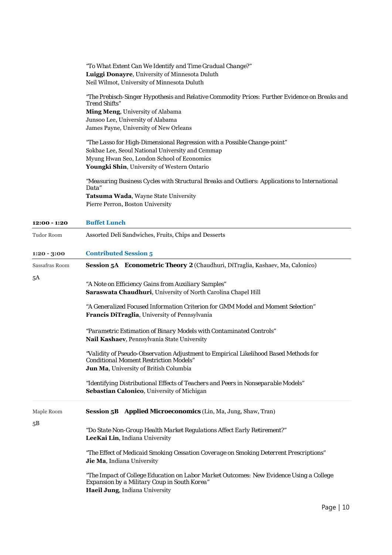*"To What Extent Can We Identify and Time Gradual Change?"*  **Luiggi Donayre**, University of Minnesota Duluth Neil Wilmot, University of Minnesota Duluth

*"The Prebisch-Singer Hypothesis and Relative Commodity Prices: Further Evidence on Breaks and Trend Shifts"* 

**Ming Meng**, University of Alabama Junsoo Lee, University of Alabama James Payne, University of New Orleans

*"The Lasso for High-Dimensional Regression with a Possible Change-point"*  Sokbae Lee, Seoul National University and Cemmap Myung Hwan Seo, London School of Economics **Youngki Shin**, University of Western Ontario

*"Measuring Business Cycles with Structural Breaks and Outliers: Applications to International Data"*  **Tatsuma Wada**, Wayne State University Pierre Perron, Boston University

| 12:00 - 1:20      | <b>Buffet Lunch</b>                                                                     |  |  |
|-------------------|-----------------------------------------------------------------------------------------|--|--|
| <b>Tudor Room</b> | Assorted Deli Sandwiches, Fruits, Chips and Desserts                                    |  |  |
| $1:20 - 3:00$     | <b>Contributed Session 5</b>                                                            |  |  |
| Sassafras Room    | Session 5A Econometric Theory 2 (Chaudhuri, DiTraglia, Kashaev, Ma, Calonico)           |  |  |
| 5Α                |                                                                                         |  |  |
|                   | "A Note on Efficiency Gains from Auxiliary Samples"                                     |  |  |
|                   | Saraswata Chaudhuri, University of North Carolina Chapel Hill                           |  |  |
|                   | "A Generalized Focused Information Criterion for GMM Model and Moment Selection"        |  |  |
|                   | Francis DiTraglia, University of Pennsylvania                                           |  |  |
|                   | "Parametric Estimation of Binary Models with Contaminated Controls"                     |  |  |
|                   | Nail Kashaev, Pennsylvania State University                                             |  |  |
|                   | "Validity of Pseudo-Observation Adjustment to Empirical Likelihood Based Methods for    |  |  |
|                   | <b>Conditional Moment Restriction Models"</b>                                           |  |  |
|                   | Jun Ma, University of British Columbia                                                  |  |  |
|                   | "Identifying Distributional Effects of Teachers and Peers in Nonseparable Models"       |  |  |
|                   | Sebastian Calonico, University of Michigan                                              |  |  |
| Maple Room        | <b>Session 5B</b> Applied Microeconomics (Lin, Ma, Jung, Shaw, Tran)                    |  |  |
| 5Β                |                                                                                         |  |  |
|                   | "Do State Non-Group Health Market Regulations Affect Early Retirement?"                 |  |  |
|                   | LeeKai Lin, Indiana University                                                          |  |  |
|                   | "The Effect of Medicaid Smoking Cessation Coverage on Smoking Deterrent Prescriptions"  |  |  |
|                   | Jie Ma, Indiana University                                                              |  |  |
|                   | "The Impact of College Education on Labor Market Outcomes: New Evidence Using a College |  |  |
|                   | Expansion by a Military Coup in South Korea"                                            |  |  |
|                   | Haeil Jung, Indiana University                                                          |  |  |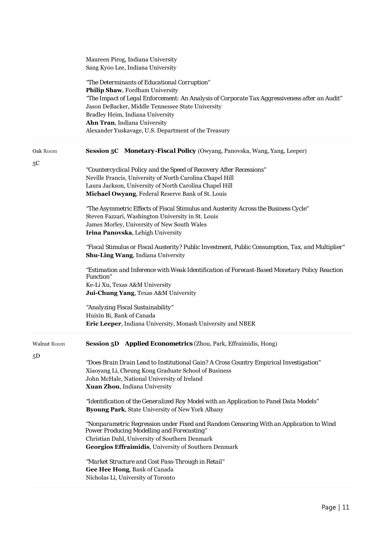|             | Maureen Pirog, Indiana University<br>Sang Kyoo Lee, Indiana University                                                                                                           |
|-------------|----------------------------------------------------------------------------------------------------------------------------------------------------------------------------------|
|             | "The Determinants of Educational Corruption"<br>Philip Shaw, Fordham University<br>"The Impact of Legal Enforcement: An Analysis of Corporate Tax Aggressiveness after an Audit" |
|             | Jason DeBacker, Middle Tennessee State University                                                                                                                                |
|             | Bradley Heim, Indiana University<br>Ahn Tran, Indiana University                                                                                                                 |
|             | Alexander Yuskavage, U.S. Department of the Treasury                                                                                                                             |
| Oak Room    | Session 5C Monetary-Fiscal Policy (Owyang, Panovska, Wang, Yang, Leeper)                                                                                                         |
| 5C          | "Countercyclical Policy and the Speed of Recovery After Recessions"                                                                                                              |
|             | Neville Francis, University of North Carolina Chapel Hill                                                                                                                        |
|             | Laura Jackson, University of North Carolina Chapel Hill<br>Michael Owyang, Federal Reserve Bank of St. Louis                                                                     |
|             | "The Asymmetric Effects of Fiscal Stimulus and Austerity Across the Business Cycle"                                                                                              |
|             | Steven Fazzari, Washington University in St. Louis                                                                                                                               |
|             | James Morley, University of New South Wales                                                                                                                                      |
|             | Irina Panovska, Lehigh University                                                                                                                                                |
|             | "Fiscal Stimulus or Fiscal Austerity? Public Investment, Public Consumption, Tax, and Multiplier"<br>Shu-Ling Wang, Indiana University                                           |
|             | "Estimation and Inference with Weak Identification of Forecast-Based Monetary Policy Reaction<br><b>Function</b> "                                                               |
|             | Ke-Li Xu, Texas A&M University                                                                                                                                                   |
|             | Jui-Chung Yang, Texas A&M University                                                                                                                                             |
|             | "Analyzing Fiscal Sustainability"                                                                                                                                                |
|             | Huixin Bi, Bank of Canada                                                                                                                                                        |
|             | Eric Leeper, Indiana University, Monash University and NBER                                                                                                                      |
| Walnut Room | <b>Session 5D</b> Applied Econometrics (Zhou, Park, Effraimidis, Hong)                                                                                                           |
| 5D          | "Does Brain Drain Lead to Institutional Gain? A Cross Country Empirical Investigation"                                                                                           |
|             | Xiaoyang Li, Cheung Kong Graduate School of Business                                                                                                                             |
|             | John McHale, National University of Ireland                                                                                                                                      |
|             | Xuan Zhou, Indiana University                                                                                                                                                    |
|             | "Identification of the Generalized Roy Model with an Application to Panel Data Models"                                                                                           |
|             | Byoung Park, State University of New York Albany                                                                                                                                 |
|             | "Nonparametric Regression under Fixed and Random Censoring With an Application to Wind<br><b>Power Producing Modelling and Forecasting"</b>                                      |
|             | Christian Dahl, University of Southern Denmark                                                                                                                                   |
|             | Georgios Effraimidis, University of Southern Denmark                                                                                                                             |
|             | "Market Structure and Cost Pass-Through in Retail"                                                                                                                               |
|             | Gee Hee Hong, Bank of Canada                                                                                                                                                     |
|             | Nicholas Li, University of Toronto                                                                                                                                               |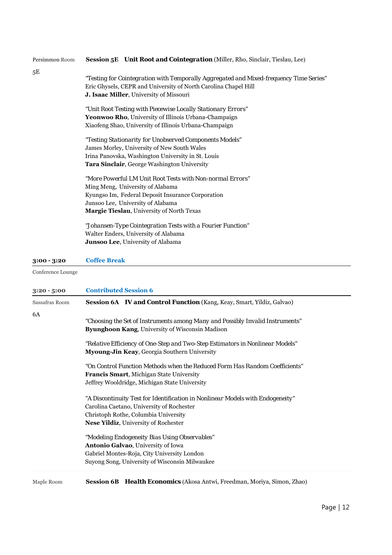| Persimmon Room | <b>Session 5E</b> Unit Root and Cointegration (Miller, Rho, Sinclair, Tieslau, Lee)    |
|----------------|----------------------------------------------------------------------------------------|
| 5Ε             |                                                                                        |
|                | "Testing for Cointegration with Temporally Aggregated and Mixed-frequency Time Series" |
|                | Eric Ghysels, CEPR and University of North Carolina Chapel Hill                        |
|                | J. Isaac Miller, University of Missouri                                                |
|                | "Unit Root Testing with Piecewise Locally Stationary Errors"                           |
|                | Yeonwoo Rho, University of Illinois Urbana-Champaign                                   |
|                | Xiaofeng Shao, University of Illinois Urbana-Champaign                                 |
|                | "Testing Stationarity for Unobserved Components Models"                                |
|                | James Morley, University of New South Wales                                            |
|                | Irina Panovska, Washington University in St. Louis                                     |
|                | <b>Tara Sinclair</b> , George Washington University                                    |
|                | "More Powerful LM Unit Root Tests with Non-normal Errors"                              |
|                | Ming Meng, University of Alabama                                                       |
|                | Kyungso Im, Federal Deposit Insurance Corporation                                      |
|                | Junsoo Lee, University of Alabama                                                      |
|                | Margie Tieslau, University of North Texas                                              |
|                | "Johansen-Type Cointegration Tests with a Fourier Function"                            |
|                | Walter Enders, University of Alabama                                                   |
|                | Junsoo Lee, University of Alabama                                                      |
|                |                                                                                        |

## **3:00 - 3:20 Coffee Break**

Conference Lounge

| $3:20 - 5:00$  | <b>Contributed Session 6</b>                                                   |
|----------------|--------------------------------------------------------------------------------|
| Sassafras Room | Session 6A <b>IV and Control Function</b> (Kang, Keay, Smart, Yildiz, Galvao)  |
| 6A             |                                                                                |
|                | "Choosing the Set of Instruments among Many and Possibly Invalid Instruments"  |
|                | Byunghoon Kang, University of Wisconsin Madison                                |
|                | "Relative Efficiency of One-Step and Two-Step Estimators in Nonlinear Models"  |
|                | Myoung-Jin Keay, Georgia Southern University                                   |
|                | "On Control Function Methods when the Reduced Form Has Random Coefficients"    |
|                | Francis Smart, Michigan State University                                       |
|                | Jeffrey Wooldridge, Michigan State University                                  |
|                | "A Discontinuity Test for Identification in Nonlinear Models with Endogeneity" |
|                | Carolina Caetano, University of Rochester                                      |
|                | Christoph Rothe, Columbia University                                           |
|                | <b>Nese Yildiz, University of Rochester</b>                                    |
|                | "Modeling Endogeneity Bias Using Observables"                                  |
|                | Antonio Galvao, University of Iowa                                             |
|                | Gabriel Montes-Roja, City University London                                    |
|                | Suyong Song, University of Wisconsin Milwaukee                                 |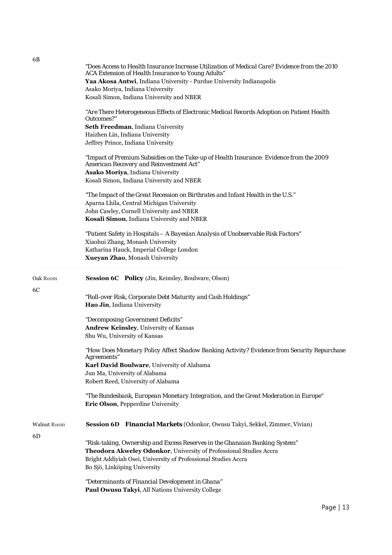|                          | "Does Access to Health Insurance Increase Utilization of Medical Care? Evidence from the 2010<br>ACA Extension of Health Insurance to Young Adults"<br>Yaa Akosa Antwi, Indiana University - Purdue University Indianapolis<br>Asako Moriya, Indiana University<br>Kosali Simon, Indiana University and NBER<br>"Are There Heterogeneous Effects of Electronic Medical Records Adoption on Patient Health<br>Outcomes?"<br>Seth Freedman, Indiana University<br>Haizhen Lin, Indiana University<br>Jeffrey Prince, Indiana University<br>"Impact of Premium Subsidies on the Take-up of Health Insurance: Evidence from the 2009<br>American Recovery and Reinvestment Act"<br>Asako Moriya, Indiana University<br>Kosali Simon, Indiana University and NBER<br>"The Impact of the Great Recession on Birthrates and Infant Health in the U.S."<br>Aparna Lhila, Central Michigan University<br>John Cawley, Cornell University and NBER<br>Kosali Simon, Indiana University and NBER<br>"Patient Safety in Hospitals - A Bayesian Analysis of Unobservable Risk Factors"<br>Xiaohui Zhang, Monash University<br>Katharina Hauck, Imperial College London |
|--------------------------|-----------------------------------------------------------------------------------------------------------------------------------------------------------------------------------------------------------------------------------------------------------------------------------------------------------------------------------------------------------------------------------------------------------------------------------------------------------------------------------------------------------------------------------------------------------------------------------------------------------------------------------------------------------------------------------------------------------------------------------------------------------------------------------------------------------------------------------------------------------------------------------------------------------------------------------------------------------------------------------------------------------------------------------------------------------------------------------------------------------------------------------------------------------|
|                          | Xueyan Zhao, Monash University                                                                                                                                                                                                                                                                                                                                                                                                                                                                                                                                                                                                                                                                                                                                                                                                                                                                                                                                                                                                                                                                                                                            |
| Oak Room<br>6C           | Session 6C Policy (Jin, Keinsley, Boulware, Olson)<br>"Roll-over Risk, Corporate Debt Maturity and Cash Holdings"<br>Hao Jin, Indiana University<br>"Decomposing Government Deficits"                                                                                                                                                                                                                                                                                                                                                                                                                                                                                                                                                                                                                                                                                                                                                                                                                                                                                                                                                                     |
|                          | Andrew Keinsley, University of Kansas<br>Shu Wu, University of Kansas<br>"How Does Monetary Policy Affect Shadow Banking Activity? Evidence from Security Repurchase<br>Agreements"<br>Karl David Boulware, University of Alabama<br>Jun Ma, University of Alabama<br>Robert Reed, University of Alabama<br>"The Bundesbank, European Monetary Integration, and the Great Moderation in Europe"                                                                                                                                                                                                                                                                                                                                                                                                                                                                                                                                                                                                                                                                                                                                                           |
|                          | Eric Olson, Pepperdine University                                                                                                                                                                                                                                                                                                                                                                                                                                                                                                                                                                                                                                                                                                                                                                                                                                                                                                                                                                                                                                                                                                                         |
| <b>Walnut Room</b><br>6D | <b>Session 6D</b><br><b>Financial Markets</b> (Odonkor, Owusu Takyi, Sekkel, Zimmer, Vivian)<br>"Risk-taking, Ownership and Excess Reserves in the Ghanaian Banking System"                                                                                                                                                                                                                                                                                                                                                                                                                                                                                                                                                                                                                                                                                                                                                                                                                                                                                                                                                                               |
|                          | Theodora Akweley Odonkor, University of Professional Studies Accra<br>Bright Addiyiah Osei, University of Professional Studies Accra<br>Bo Sjö, Linköping University                                                                                                                                                                                                                                                                                                                                                                                                                                                                                                                                                                                                                                                                                                                                                                                                                                                                                                                                                                                      |
|                          | "Determinants of Financial Development in Ghana"<br>Paul Owusu Takyi, All Nations University College                                                                                                                                                                                                                                                                                                                                                                                                                                                                                                                                                                                                                                                                                                                                                                                                                                                                                                                                                                                                                                                      |